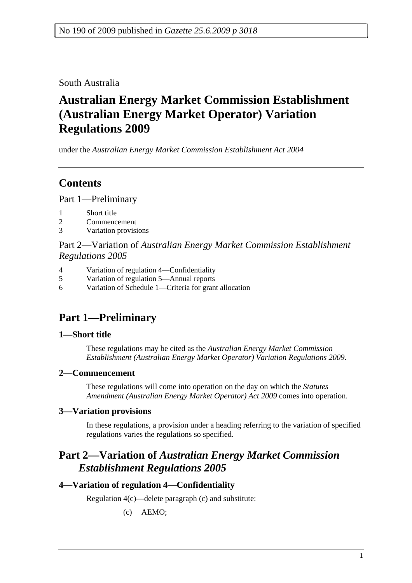South Australia

# **Australian Energy Market Commission Establishment (Australian Energy Market Operator) Variation Regulations 2009**

under the *Australian Energy Market Commission Establishment Act 2004*

# **Contents**

Part 1—Preliminary

- 1 Short title
- 2 Commencement
- 3 Variation provisions

Part 2—Variation of *Australian Energy Market Commission Establishment Regulations 2005*

- 4 Variation of regulation 4—Confidentiality
- 5 Variation of regulation 5—Annual reports
- 6 Variation of Schedule 1—Criteria for grant allocation

# **Part 1—Preliminary**

## **1—Short title**

These regulations may be cited as the *Australian Energy Market Commission Establishment (Australian Energy Market Operator) Variation Regulations 2009*.

## **2—Commencement**

These regulations will come into operation on the day on which the *Statutes Amendment (Australian Energy Market Operator) Act 2009* comes into operation.

## **3—Variation provisions**

In these regulations, a provision under a heading referring to the variation of specified regulations varies the regulations so specified.

# **Part 2—Variation of** *Australian Energy Market Commission Establishment Regulations 2005*

## **4—Variation of regulation 4—Confidentiality**

Regulation 4(c)—delete paragraph (c) and substitute:

(c) AEMO;